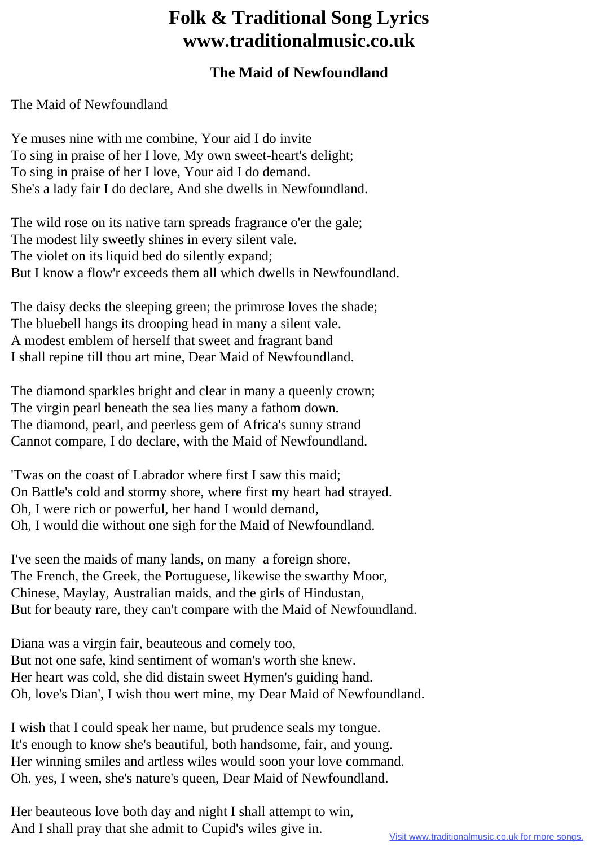## **Folk & Traditional Song Lyrics www.traditionalmusic.co.uk**

## **The Maid of Newfoundland**

The Maid of Newfoundland

Ye muses nine with me combine, Your aid I do invite To sing in praise of her I love, My own sweet-heart's delight; To sing in praise of her I love, Your aid I do demand. She's a lady fair I do declare, And she dwells in Newfoundland.

The wild rose on its native tarn spreads fragrance o'er the gale; The modest lily sweetly shines in every silent vale. The violet on its liquid bed do silently expand; But I know a flow'r exceeds them all which dwells in Newfoundland.

The daisy decks the sleeping green; the primrose loves the shade; The bluebell hangs its drooping head in many a silent vale. A modest emblem of herself that sweet and fragrant band I shall repine till thou art mine, Dear Maid of Newfoundland.

The diamond sparkles bright and clear in many a queenly crown; The virgin pearl beneath the sea lies many a fathom down. The diamond, pearl, and peerless gem of Africa's sunny strand Cannot compare, I do declare, with the Maid of Newfoundland.

'Twas on the coast of Labrador where first I saw this maid; On Battle's cold and stormy shore, where first my heart had strayed. Oh, I were rich or powerful, her hand I would demand, Oh, I would die without one sigh for the Maid of Newfoundland.

I've seen the maids of many lands, on many a foreign shore, The French, the Greek, the Portuguese, likewise the swarthy Moor, Chinese, Maylay, Australian maids, and the girls of Hindustan, But for beauty rare, they can't compare with the Maid of Newfoundland.

Diana was a virgin fair, beauteous and comely too, But not one safe, kind sentiment of woman's worth she knew. Her heart was cold, she did distain sweet Hymen's guiding hand. Oh, love's Dian', I wish thou wert mine, my Dear Maid of Newfoundland.

I wish that I could speak her name, but prudence seals my tongue. It's enough to know she's beautiful, both handsome, fair, and young. Her winning smiles and artless wiles would soon your love command. Oh. yes, I ween, she's nature's queen, Dear Maid of Newfoundland.

Her beauteous love both day and night I shall attempt to win, And I shall pray that she admit to Cupid's wiles give in.